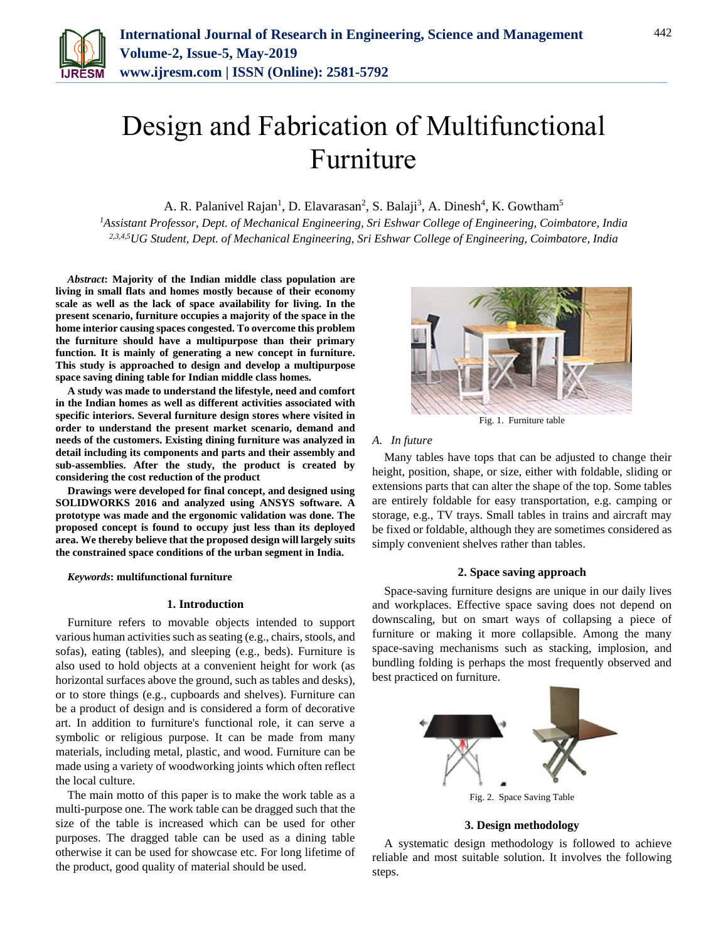

# Design and Fabrication of Multifunctional Furniture

A. R. Palanivel Rajan<sup>1</sup>, D. Elavarasan<sup>2</sup>, S. Balaji<sup>3</sup>, A. Dinesh<sup>4</sup>, K. Gowtham<sup>5</sup>

*<sup>1</sup>Assistant Professor, Dept. of Mechanical Engineering, Sri Eshwar College of Engineering, Coimbatore, India 2,3,4,5UG Student, Dept. of Mechanical Engineering, Sri Eshwar College of Engineering, Coimbatore, India*

*Abstract***: Majority of the Indian middle class population are living in small flats and homes mostly because of their economy scale as well as the lack of space availability for living. In the present scenario, furniture occupies a majority of the space in the home interior causing spaces congested. To overcome this problem the furniture should have a multipurpose than their primary function. It is mainly of generating a new concept in furniture. This study is approached to design and develop a multipurpose space saving dining table for Indian middle class homes.**

**A study was made to understand the lifestyle, need and comfort in the Indian homes as well as different activities associated with specific interiors. Several furniture design stores where visited in order to understand the present market scenario, demand and needs of the customers. Existing dining furniture was analyzed in detail including its components and parts and their assembly and sub-assemblies. After the study, the product is created by considering the cost reduction of the product**

**Drawings were developed for final concept, and designed using SOLIDWORKS 2016 and analyzed using ANSYS software. A prototype was made and the ergonomic validation was done. The proposed concept is found to occupy just less than its deployed area. We thereby believe that the proposed design will largely suits the constrained space conditions of the urban segment in India.**

*Keywords***: multifunctional furniture**

### **1. Introduction**

Furniture refers to movable objects intended to support various human activities such as seating (e.g., chairs, stools, and sofas), eating (tables), and sleeping (e.g., beds). Furniture is also used to hold objects at a convenient height for work (as horizontal surfaces above the ground, such as tables and desks), or to store things (e.g., cupboards and shelves). Furniture can be a product of design and is considered a form of decorative art. In addition to furniture's functional role, it can serve a symbolic or religious purpose. It can be made from many materials, including metal, plastic, and wood. Furniture can be made using a variety of woodworking joints which often reflect the local culture.

The main motto of this paper is to make the work table as a multi-purpose one. The work table can be dragged such that the size of the table is increased which can be used for other purposes. The dragged table can be used as a dining table otherwise it can be used for showcase etc. For long lifetime of the product, good quality of material should be used.



Fig. 1. Furniture table

### *A. In future*

Many tables have tops that can be adjusted to change their height, position, shape, or size, either with foldable, sliding or extensions parts that can alter the shape of the top. Some tables are entirely foldable for easy transportation, e.g. camping or storage, e.g., TV trays. Small tables in trains and aircraft may be fixed or foldable, although they are sometimes considered as simply convenient shelves rather than tables.

### **2. Space saving approach**

Space-saving furniture designs are unique in our daily lives and workplaces. Effective space saving does not depend on downscaling, but on smart ways of collapsing a piece of furniture or making it more collapsible. Among the many space-saving mechanisms such as stacking, implosion, and bundling folding is perhaps the most frequently observed and best practiced on furniture.



#### **3. Design methodology**

A systematic design methodology is followed to achieve reliable and most suitable solution. It involves the following steps.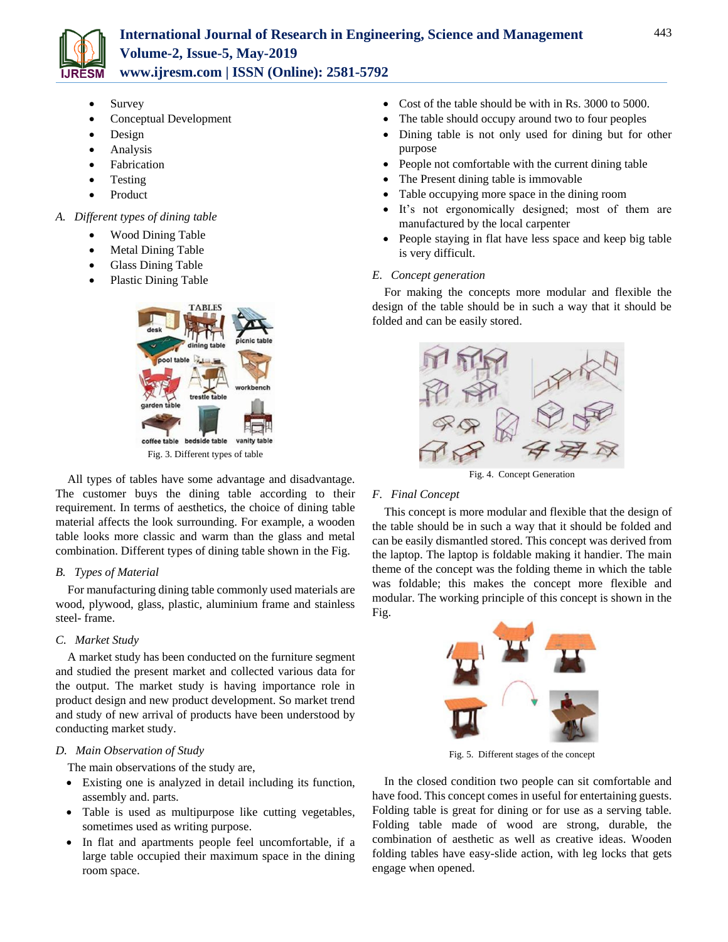

- Survey
- Conceptual Development
- Design
- Analysis
- Fabrication
- Testing
- Product
- *A. Different types of dining table*
	- Wood Dining Table
	- Metal Dining Table
	- Glass Dining Table
	- Plastic Dining Table



All types of tables have some advantage and disadvantage. The customer buys the dining table according to their requirement. In terms of aesthetics, the choice of dining table material affects the look surrounding. For example, a wooden table looks more classic and warm than the glass and metal combination. Different types of dining table shown in the Fig.

# *B. Types of Material*

For manufacturing dining table commonly used materials are wood, plywood, glass, plastic, aluminium frame and stainless steel- frame.

### *C. Market Study*

A market study has been conducted on the furniture segment and studied the present market and collected various data for the output. The market study is having importance role in product design and new product development. So market trend and study of new arrival of products have been understood by conducting market study.

### *D. Main Observation of Study*

The main observations of the study are,

- Existing one is analyzed in detail including its function, assembly and. parts.
- Table is used as multipurpose like cutting vegetables, sometimes used as writing purpose.
- In flat and apartments people feel uncomfortable, if a large table occupied their maximum space in the dining room space.
- Cost of the table should be with in Rs. 3000 to 5000.
- The table should occupy around two to four peoples
- Dining table is not only used for dining but for other purpose
- People not comfortable with the current dining table
- The Present dining table is immovable
- Table occupying more space in the dining room
- It's not ergonomically designed; most of them are manufactured by the local carpenter
- People staying in flat have less space and keep big table is very difficult.

### *E. Concept generation*

For making the concepts more modular and flexible the design of the table should be in such a way that it should be folded and can be easily stored.



Fig. 4. Concept Generation

# *F. Final Concept*

This concept is more modular and flexible that the design of the table should be in such a way that it should be folded and can be easily dismantled stored. This concept was derived from the laptop. The laptop is foldable making it handier. The main theme of the concept was the folding theme in which the table was foldable; this makes the concept more flexible and modular. The working principle of this concept is shown in the Fig.



Fig. 5. Different stages of the concept

In the closed condition two people can sit comfortable and have food. This concept comes in useful for entertaining guests. Folding table is great for dining or for use as a serving table. Folding table made of wood are strong, durable, the combination of aesthetic as well as creative ideas. Wooden folding tables have easy-slide action, with leg locks that gets engage when opened.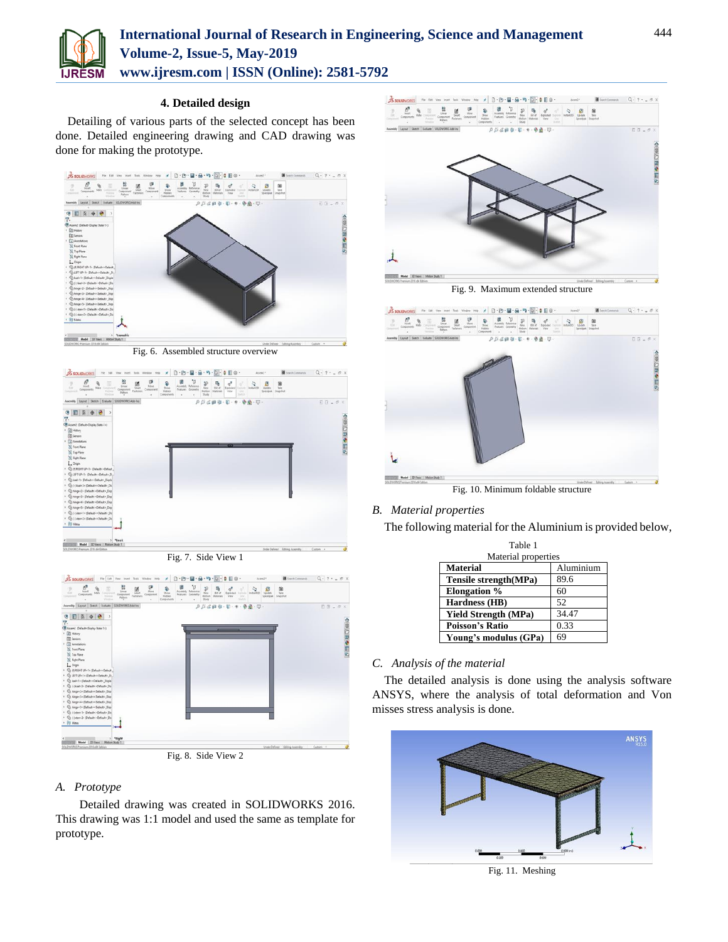

# **International Journal of Research in Engineering, Science and Management Volume-2, Issue-5, May-2019**

**www.ijresm.com | ISSN (Online): 2581-5792** 

# **4. Detailed design**

Detailing of various parts of the selected concept has been done. Detailed engineering drawing and CAD drawing was done for making the prototype.



Fig. 6. Assembled structure overview



Fig. 7. Side View 1



Fig. 8. Side View 2

# *A. Prototype*

 Detailed drawing was created in SOLIDWORKS 2016. This drawing was 1:1 model and used the same as template for prototype.



Fig. 9. Maximum extended structure



Fig. 10. Minimum foldable structure

# *B. Material properties*

The following material for the Aluminium is provided below,

| Table 1                     |           |
|-----------------------------|-----------|
| Material properties         |           |
| <b>Material</b>             | Aluminium |
| Tensile strength(MPa)       | 89.6      |
| <b>Elongation</b> %         | 60        |
| Hardness (HB)               | 52        |
| <b>Yield Strength (MPa)</b> | 34.47     |
| <b>Poisson's Ratio</b>      | 0.33      |
| Young's modulus (GPa)       | 69        |

# *C. Analysis of the material*

The detailed analysis is done using the analysis software ANSYS, where the analysis of total deformation and Von misses stress analysis is done.



Fig. 11. Meshing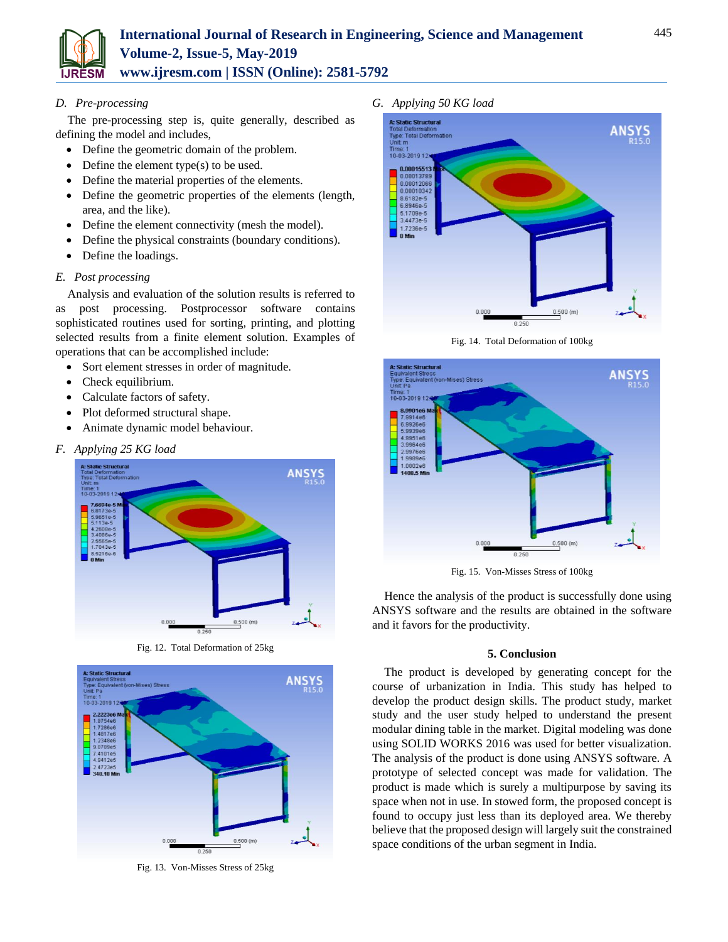

### *D. Pre-processing*

The pre-processing step is, quite generally, described as defining the model and includes,

- Define the geometric domain of the problem.
- $\bullet$  Define the element type(s) to be used.
- Define the material properties of the elements.
- Define the geometric properties of the elements (length, area, and the like).
- Define the element connectivity (mesh the model).
- Define the physical constraints (boundary conditions).
- Define the loadings.

### *E. Post processing*

Analysis and evaluation of the solution results is referred to as post processing. Postprocessor software contains sophisticated routines used for sorting, printing, and plotting selected results from a finite element solution. Examples of operations that can be accomplished include:

- Sort element stresses in order of magnitude.
- Check equilibrium.
- Calculate factors of safety.
- Plot deformed structural shape.
- Animate dynamic model behaviour.

### *F. Applying 25 KG load*



Fig. 12. Total Deformation of 25kg



Fig. 13. Von-Misses Stress of 25kg

*G. Applying 50 KG load*



Fig. 14. Total Deformation of 100kg



Fig. 15. Von-Misses Stress of 100kg

Hence the analysis of the product is successfully done using ANSYS software and the results are obtained in the software and it favors for the productivity.

### **5. Conclusion**

The product is developed by generating concept for the course of urbanization in India. This study has helped to develop the product design skills. The product study, market study and the user study helped to understand the present modular dining table in the market. Digital modeling was done using SOLID WORKS 2016 was used for better visualization. The analysis of the product is done using ANSYS software. A prototype of selected concept was made for validation. The product is made which is surely a multipurpose by saving its space when not in use. In stowed form, the proposed concept is found to occupy just less than its deployed area. We thereby believe that the proposed design will largely suit the constrained space conditions of the urban segment in India.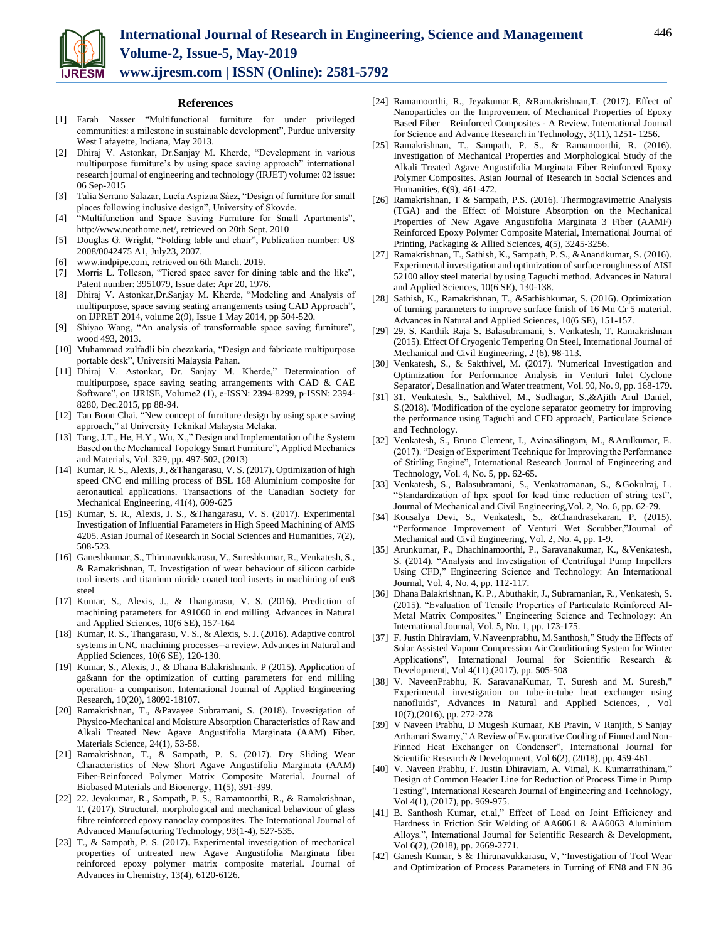

**References**

- [1] Farah Nasser "Multifunctional furniture for under privileged communities: a milestone in sustainable development", Purdue university West Lafayette, Indiana, May 2013.
- [2] Dhiraj V. Astonkar, Dr.Sanjay M. Kherde, "Development in various multipurpose furniture's by using space saving approach" international research journal of engineering and technology (IRJET) volume: 02 issue: 06 Sep-2015
- [3] Talia Serrano Salazar, Lucía Aspizua Sáez, "Design of furniture for small places following inclusive design", University of Skovde.
- [4] "Multifunction and Space Saving Furniture for Small Apartments", http://www.neathome.net/, retrieved on 20th Sept. 2010
- [5] Douglas G. Wright, "Folding table and chair", Publication number: US 2008/0042475 A1, July23, 2007.
- [6] www.indpipe.com, retrieved on 6th March. 2019.
- [7] Morris L. Tolleson, "Tiered space saver for dining table and the like", Patent number: 3951079, Issue date: Apr 20, 1976.
- Dhiraj V. Astonkar,Dr.Sanjay M. Kherde, "Modeling and Analysis of multipurpose, space saving seating arrangements using CAD Approach", on IJPRET 2014, volume 2(9), Issue 1 May 2014, pp 504-520.
- [9] Shiyao Wang, "An analysis of transformable space saving furniture", wood 493, 2013.
- [10] Muhammad zulfadli bin chezakaria, "Design and fabricate multipurpose portable desk", Universiti Malaysia Pahan.
- [11] Dhiraj V. Astonkar, Dr. Sanjay M. Kherde," Determination of multipurpose, space saving seating arrangements with CAD & CAE Software", on IJRISE, Volume2 (1), e-ISSN: 2394-8299, p-ISSN: 2394- 8280, Dec.2015, pp 88-94.
- [12] Tan Boon Chai. "New concept of furniture design by using space saving approach," at University Teknikal Malaysia Melaka.
- [13] Tang, J.T., He, H.Y., Wu, X.," Design and Implementation of the System Based on the Mechanical Topology Smart Furniture", Applied Mechanics and Materials, Vol. 329, pp. 497-502, (2013)
- [14] Kumar, R. S., Alexis, J., &Thangarasu, V. S. (2017). Optimization of high speed CNC end milling process of BSL 168 Aluminium composite for aeronautical applications. Transactions of the Canadian Society for Mechanical Engineering, 41(4), 609-625
- [15] Kumar, S. R., Alexis, J. S., &Thangarasu, V. S. (2017). Experimental Investigation of Influential Parameters in High Speed Machining of AMS 4205. Asian Journal of Research in Social Sciences and Humanities, 7(2), 508-523.
- [16] Ganeshkumar, S., Thirunavukkarasu, V., Sureshkumar, R., Venkatesh, S., & Ramakrishnan, T. Investigation of wear behaviour of silicon carbide tool inserts and titanium nitride coated tool inserts in machining of en8 steel
- [17] Kumar, S., Alexis, J., & Thangarasu, V. S. (2016). Prediction of machining parameters for A91060 in end milling. Advances in Natural and Applied Sciences, 10(6 SE), 157-164
- [18] Kumar, R. S., Thangarasu, V. S., & Alexis, S. J. (2016). Adaptive control systems in CNC machining processes--a review. Advances in Natural and Applied Sciences, 10(6 SE), 120-130.
- [19] Kumar, S., Alexis, J., & Dhana Balakrishnank. P (2015). Application of ga&ann for the optimization of cutting parameters for end milling operation- a comparison. International Journal of Applied Engineering Research, 10(20), 18092-18107.
- [20] Ramakrishnan, T., &Pavayee Subramani, S. (2018). Investigation of Physico-Mechanical and Moisture Absorption Characteristics of Raw and Alkali Treated New Agave Angustifolia Marginata (AAM) Fiber. Materials Science, 24(1), 53-58.
- [21] Ramakrishnan, T., & Sampath, P. S. (2017). Dry Sliding Wear Characteristics of New Short Agave Angustifolia Marginata (AAM) Fiber-Reinforced Polymer Matrix Composite Material. Journal of Biobased Materials and Bioenergy, 11(5), 391-399.
- [22] 22. Jeyakumar, R., Sampath, P. S., Ramamoorthi, R., & Ramakrishnan, T. (2017). Structural, morphological and mechanical behaviour of glass fibre reinforced epoxy nanoclay composites. The International Journal of Advanced Manufacturing Technology, 93(1-4), 527-535.
- [23] T., & Sampath, P. S. (2017). Experimental investigation of mechanical properties of untreated new Agave Angustifolia Marginata fiber reinforced epoxy polymer matrix composite material. Journal of Advances in Chemistry, 13(4), 6120-6126.
- [24] Ramamoorthi, R., Jeyakumar.R, &Ramakrishnan,T. (2017). Effect of Nanoparticles on the Improvement of Mechanical Properties of Epoxy Based Fiber – Reinforced Composites - A Review. International Journal for Science and Advance Research in Technology, 3(11), 1251- 1256.
- [25] Ramakrishnan, T., Sampath, P. S., & Ramamoorthi, R. (2016). Investigation of Mechanical Properties and Morphological Study of the Alkali Treated Agave Angustifolia Marginata Fiber Reinforced Epoxy Polymer Composites. Asian Journal of Research in Social Sciences and Humanities, 6(9), 461-472.
- [26] Ramakrishnan, T & Sampath, P.S. (2016). Thermogravimetric Analysis (TGA) and the Effect of Moisture Absorption on the Mechanical Properties of New Agave Angustifolia Marginata 3 Fiber (AAMF) Reinforced Epoxy Polymer Composite Material, International Journal of Printing, Packaging & Allied Sciences, 4(5), 3245-3256.
- [27] Ramakrishnan, T., Sathish, K., Sampath, P. S., &Anandkumar, S. (2016). Experimental investigation and optimization of surface roughness of AISI 52100 alloy steel material by using Taguchi method. Advances in Natural and Applied Sciences, 10(6 SE), 130-138.
- [28] Sathish, K., Ramakrishnan, T., &Sathishkumar, S. (2016). Optimization of turning parameters to improve surface finish of 16 Mn Cr 5 material. Advances in Natural and Applied Sciences, 10(6 SE), 151-157.
- [29] 29. S. Karthik Raja S. Balasubramani, S. Venkatesh, T. Ramakrishnan (2015). Effect Of Cryogenic Tempering On Steel, International Journal of Mechanical and Civil Engineering, 2 (6), 98-113.
- [30] Venkatesh, S., & Sakthivel, M. (2017). 'Numerical Investigation and Optimization for Performance Analysis in Venturi Inlet Cyclone Separator', Desalination and Water treatment, Vol. 90, No. 9, pp. 168-179.
- [31] 31. Venkatesh, S., Sakthivel, M., Sudhagar, S.,&Ajith Arul Daniel, S.(2018). 'Modification of the cyclone separator geometry for improving the performance using Taguchi and CFD approach', Particulate Science and Technology.
- [32] Venkatesh, S., Bruno Clement, I., Avinasilingam, M., &Arulkumar, E. (2017). "Design of Experiment Technique for Improving the Performance of Stirling Engine", International Research Journal of Engineering and Technology, Vol. 4, No. 5, pp. 62-65.
- [33] Venkatesh, S., Balasubramani, S., Venkatramanan, S., &Gokulraj, L. "Standardization of hpx spool for lead time reduction of string test", Journal of Mechanical and Civil Engineering,Vol. 2, No. 6, pp. 62-79.
- [34] Kousalya Devi, S., Venkatesh, S., &Chandrasekaran. P. (2015). "Performance Improvement of Venturi Wet Scrubber,"Journal of Mechanical and Civil Engineering, Vol. 2, No. 4, pp. 1-9.
- [35] Arunkumar, P., Dhachinamoorthi, P., Saravanakumar, K., &Venkatesh, S. (2014). "Analysis and Investigation of Centrifugal Pump Impellers Using CFD," Engineering Science and Technology: An International Journal, Vol. 4, No. 4, pp. 112-117.
- [36] Dhana Balakrishnan, K. P., Abuthakir, J., Subramanian, R., Venkatesh, S. (2015). "Evaluation of Tensile Properties of Particulate Reinforced Al-Metal Matrix Composites," Engineering Science and Technology: An International Journal, Vol. 5, No. 1, pp. 173-175.
- [37] F. Justin Dhiraviam, V.Naveenprabhu, M.Santhosh," Study the Effects of Solar Assisted Vapour Compression Air Conditioning System for Winter Applications", International Journal for Scientific Research & Development|, Vol 4(11),(2017), pp. 505-508
- [38] V. NaveenPrabhu, K. SaravanaKumar, T. Suresh and M. Suresh," Experimental investigation on tube-in-tube heat exchanger using nanofluids", Advances in Natural and Applied Sciences, , Vol 10(7),(2016), pp. 272-278
- [39] V Naveen Prabhu, D Mugesh Kumaar, KB Pravin, V Ranjith, S Sanjay Arthanari Swamy," A Review of Evaporative Cooling of Finned and Non-Finned Heat Exchanger on Condenser", International Journal for Scientific Research & Development, Vol 6(2), (2018), pp. 459-461.
- [40] V. Naveen Prabhu, F. Justin Dhiraviam, A. Vimal, K. Kumarrathinam," Design of Common Header Line for Reduction of Process Time in Pump Testing", International Research Journal of Engineering and Technology, Vol 4(1), (2017), pp. 969-975.
- [41] B. Santhosh Kumar, et.al," Effect of Load on Joint Efficiency and Hardness in Friction Stir Welding of AA6061 & AA6063 Aluminium Alloys.", International Journal for Scientific Research & Development, Vol 6(2), (2018), pp. 2669-2771.
- [42] Ganesh Kumar, S & Thirunavukkarasu, V, "Investigation of Tool Wear and Optimization of Process Parameters in Turning of EN8 and EN 36